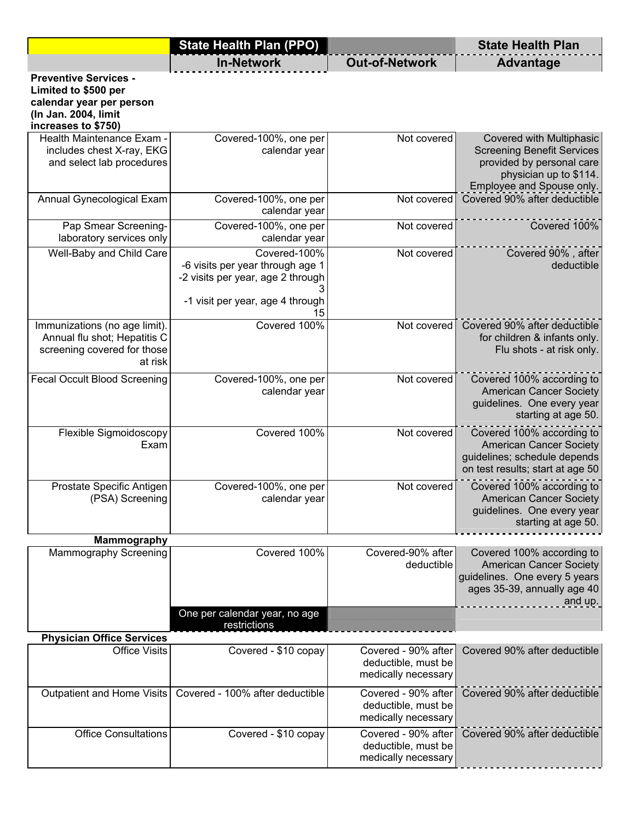|                                                                                                                                 | <b>State Health Plan (PPO)</b>                                                                                                  |                                                                   | <b>State Health Plan</b>                                                                                                                          |
|---------------------------------------------------------------------------------------------------------------------------------|---------------------------------------------------------------------------------------------------------------------------------|-------------------------------------------------------------------|---------------------------------------------------------------------------------------------------------------------------------------------------|
|                                                                                                                                 | <b>In-Network</b>                                                                                                               | <b>Out-of-Network</b>                                             | <b>Advantage</b>                                                                                                                                  |
| <b>Preventive Services -</b><br>Limited to \$500 per<br>calendar year per person<br>(In Jan. 2004, limit<br>increases to \$750) |                                                                                                                                 |                                                                   |                                                                                                                                                   |
| Health Maintenance Exam -<br>includes chest X-ray, EKG<br>and select lab procedures                                             | Covered-100%, one per<br>calendar year                                                                                          | Not covered                                                       | Covered with Multiphasic<br><b>Screening Benefit Services</b><br>provided by personal care<br>physician up to \$114.<br>Employee and Spouse only. |
| Annual Gynecological Exam                                                                                                       | Covered-100%, one per<br>calendar year                                                                                          | Not covered                                                       | Covered 90% after deductible                                                                                                                      |
| Pap Smear Screening-<br>laboratory services only                                                                                | Covered-100%, one per<br>calendar year                                                                                          | Not covered                                                       | Covered 100%                                                                                                                                      |
| Well-Baby and Child Care                                                                                                        | Covered-100%<br>-6 visits per year through age 1<br>-2 visits per year, age 2 through<br>-1 visit per year, age 4 through<br>15 | Not covered                                                       | Covered 90%, after<br>deductible                                                                                                                  |
| Immunizations (no age limit).<br>Annual flu shot; Hepatitis C<br>screening covered for those<br>at risk                         | Covered 100%                                                                                                                    | Not covered                                                       | Covered 90% after deductible<br>for children & infants only.<br>Flu shots - at risk only.                                                         |
| <b>Fecal Occult Blood Screening</b>                                                                                             | Covered-100%, one per<br>calendar year                                                                                          | Not covered                                                       | Covered 100% according to<br><b>American Cancer Society</b><br>guidelines. One every year<br>starting at age 50.                                  |
| Flexible Sigmoidoscopy<br>Exam                                                                                                  | Covered 100%                                                                                                                    | Not covered                                                       | Covered 100% according to<br><b>American Cancer Society</b><br>guidelines; schedule depends<br>on test results; start at age 50                   |
| Prostate Specific Antigen<br>(PSA) Screening                                                                                    | Covered-100%, one per<br>calendar year                                                                                          | Not covered                                                       | Covered 100% according to<br><b>American Cancer Society</b><br>guidelines. One every year<br>starting at age 50.                                  |
| <b>Mammography</b>                                                                                                              |                                                                                                                                 |                                                                   |                                                                                                                                                   |
| Mammography Screening                                                                                                           | Covered 100%                                                                                                                    | Covered-90% after<br>deductible                                   | Covered 100% according to<br><b>American Cancer Society</b><br>guidelines. One every 5 years<br>ages 35-39, annually age 40<br>and up.            |
|                                                                                                                                 | One per calendar year, no age<br>restrictions                                                                                   |                                                                   |                                                                                                                                                   |
| <b>Physician Office Services</b>                                                                                                |                                                                                                                                 |                                                                   |                                                                                                                                                   |
| <b>Office Visits</b>                                                                                                            | Covered - \$10 copay                                                                                                            | Covered - 90% after<br>deductible, must be<br>medically necessary | Covered 90% after deductible                                                                                                                      |
| Outpatient and Home Visits                                                                                                      | Covered - 100% after deductible                                                                                                 | Covered - 90% after<br>deductible, must be<br>medically necessary | Covered 90% after deductible                                                                                                                      |
| <b>Office Consultations</b>                                                                                                     | Covered - \$10 copay                                                                                                            | Covered - 90% after<br>deductible, must be<br>medically necessary | Covered 90% after deductible                                                                                                                      |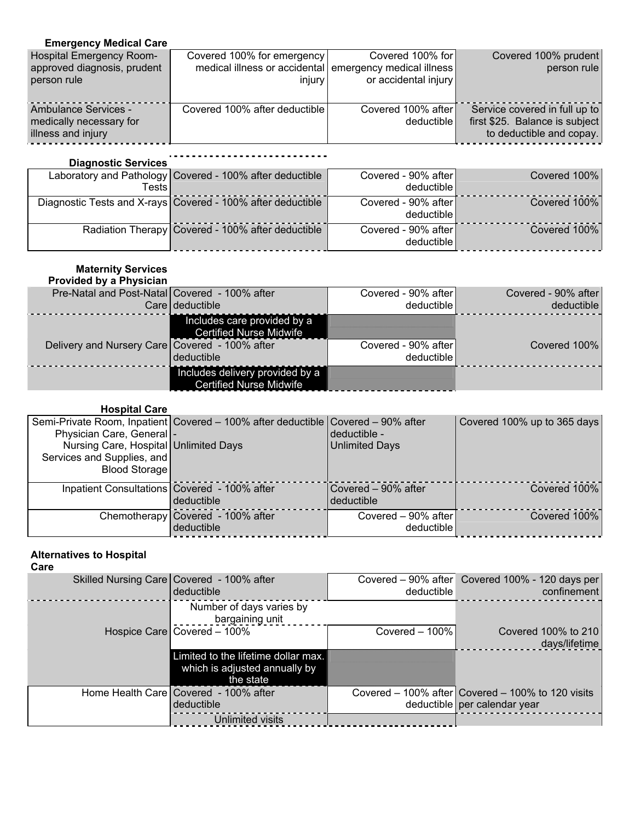## **Emergency Medical Care**

| <b>Hospital Emergency Room-</b><br>approved diagnosis, prudent        | Covered 100% for emergency<br>medical illness or accidental emergency medical illness | Covered 100% for                   | Covered 100% prudent<br>person rule                                                         |
|-----------------------------------------------------------------------|---------------------------------------------------------------------------------------|------------------------------------|---------------------------------------------------------------------------------------------|
| person rule                                                           | injury                                                                                | or accidental injury               |                                                                                             |
| Ambulance Services -<br>medically necessary for<br>illness and injury | Covered 100% after deductible                                                         | Covered 100% after<br>deductible l | Service covered in full up to<br>first \$25. Balance is subject<br>to deductible and copay. |

| <b>Diagnostic Services</b> |                                                             |                                   |              |
|----------------------------|-------------------------------------------------------------|-----------------------------------|--------------|
| Tests l                    | Laboratory and Pathology Covered - 100% after deductible    | Covered - 90% after<br>deductible | Covered 100% |
|                            | Diagnostic Tests and X-rays Covered - 100% after deductible | Covered - 90% after<br>deductible | Covered 100% |
|                            | Radiation Therapy Covered - 100% after deductible           | Covered - 90% after<br>deductible | Covered 100% |

### **Maternity Services**

| <b>Provided by a Physician</b>                 |                                                                   |                                   |                     |
|------------------------------------------------|-------------------------------------------------------------------|-----------------------------------|---------------------|
| Pre-Natal and Post-Natal Covered - 100% after  |                                                                   | Covered - 90% after               | Covered - 90% after |
|                                                | Care deductible                                                   | deductible l                      | deductible          |
|                                                | Includes care provided by a<br><b>Certified Nurse Midwife</b>     |                                   |                     |
| Delivery and Nursery Care Covered - 100% after | deductible                                                        | Covered - 90% after<br>deductible | Covered 100%        |
|                                                | Includes delivery provided by a<br><b>Certified Nurse Midwife</b> |                                   |                     |

### **Hospital Care**

| Physician Care, General  -                                                             | Semi-Private Room, Inpatient   Covered - 100% after deductible   Covered - 90% after | deductible -                      | Covered 100% up to 365 days |
|----------------------------------------------------------------------------------------|--------------------------------------------------------------------------------------|-----------------------------------|-----------------------------|
| Nursing Care, Hospital   Unlimited Days<br>Services and Supplies, and<br>Blood Storage |                                                                                      | <b>Unlimited Days</b>             |                             |
| Inpatient Consultations Covered - 100% after                                           | deductible                                                                           | Covered - 90% after<br>deductible | Covered 100%                |
|                                                                                        | Chemotherapy Covered - 100% after<br>deductible                                      | Covered - 90% after<br>deductible | Covered 100%                |

# **Alternatives to Hospital**

#### **Care**

| Skilled Nursing Care Covered - 100% after<br>deductible                           | deductible       | Covered - 90% after Covered 100% - 120 days per<br>confinement                        |
|-----------------------------------------------------------------------------------|------------------|---------------------------------------------------------------------------------------|
|                                                                                   |                  |                                                                                       |
| Number of days varies by<br>bargaining unit                                       |                  |                                                                                       |
| Hospice Care Covered - 100%                                                       | Covered $-100\%$ | Covered 100% to 210<br>days/lifetime                                                  |
| Limited to the lifetime dollar max.<br>which is adjusted annually by<br>the state |                  |                                                                                       |
| Home Health Care   Covered - 100% after<br>deductible                             |                  | Covered $-$ 100% after Covered $-$ 100% to 120 visits<br>deductible per calendar year |
| <b>Unlimited visits</b>                                                           |                  |                                                                                       |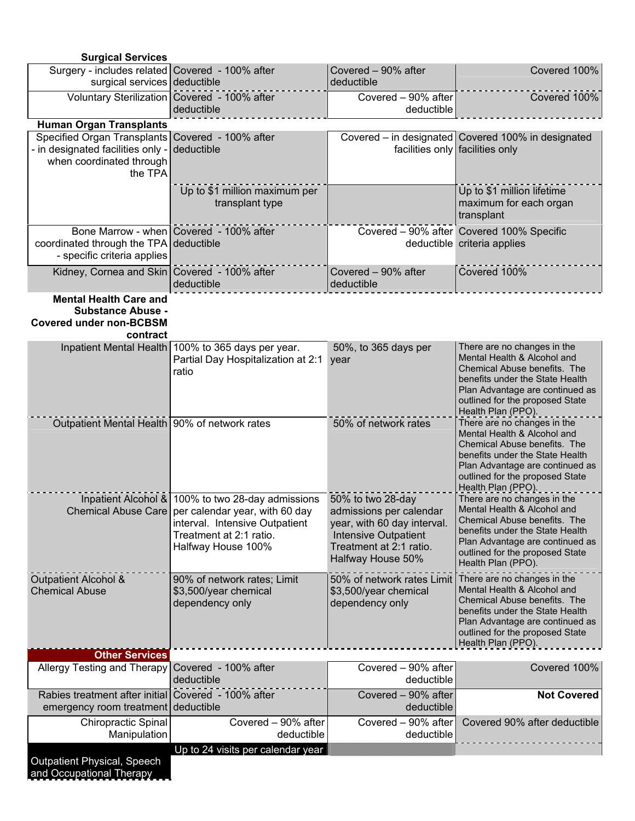| <b>Surgical Services</b>                                                                                |                                                                                                                                                                                              |                                                                                                                                                            |                                                                                                                                                                                                                           |
|---------------------------------------------------------------------------------------------------------|----------------------------------------------------------------------------------------------------------------------------------------------------------------------------------------------|------------------------------------------------------------------------------------------------------------------------------------------------------------|---------------------------------------------------------------------------------------------------------------------------------------------------------------------------------------------------------------------------|
| Surgery - includes related Covered - 100% after<br>surgical services deductible                         |                                                                                                                                                                                              | Covered - 90% after<br>deductible                                                                                                                          | Covered 100%                                                                                                                                                                                                              |
|                                                                                                         | Voluntary Sterilization Covered - 100% after<br>deductible                                                                                                                                   | Covered - 90% after<br>deductible                                                                                                                          | Covered 100%                                                                                                                                                                                                              |
| <b>Human Organ Transplants</b>                                                                          |                                                                                                                                                                                              |                                                                                                                                                            |                                                                                                                                                                                                                           |
| Specified Organ Transplants Covered - 100% after                                                        |                                                                                                                                                                                              |                                                                                                                                                            | Covered – in designated Covered 100% in designated                                                                                                                                                                        |
| - in designated facilities only -<br>when coordinated through<br>the TPA                                | deductible                                                                                                                                                                                   |                                                                                                                                                            | facilities only facilities only                                                                                                                                                                                           |
|                                                                                                         | Up to \$1 million maximum per<br>transplant type                                                                                                                                             |                                                                                                                                                            | Up to \$1 million lifetime<br>maximum for each organ<br>transplant                                                                                                                                                        |
| coordinated through the TPA<br>- specific criteria applies                                              | Bone Marrow - when Covered - 100% after<br>deductible                                                                                                                                        |                                                                                                                                                            | Covered - 90% after Covered 100% Specific<br>deductible criteria applies                                                                                                                                                  |
| Kidney, Cornea and Skin   Covered - 100% after                                                          | deductible                                                                                                                                                                                   | Covered - 90% after<br>deductible                                                                                                                          | Covered 100%                                                                                                                                                                                                              |
| <b>Mental Health Care and</b><br><b>Substance Abuse -</b><br><b>Covered under non-BCBSM</b><br>contract |                                                                                                                                                                                              |                                                                                                                                                            |                                                                                                                                                                                                                           |
|                                                                                                         | Inpatient Mental Health 100% to 365 days per year.<br>Partial Day Hospitalization at 2:1<br>ratio                                                                                            | 50%, to 365 days per<br>year                                                                                                                               | There are no changes in the<br>Mental Health & Alcohol and<br>Chemical Abuse benefits. The<br>benefits under the State Health<br>Plan Advantage are continued as<br>outlined for the proposed State<br>Health Plan (PPO). |
| Outpatient Mental Health 90% of network rates                                                           |                                                                                                                                                                                              | 50% of network rates                                                                                                                                       | There are no changes in the<br>Mental Health & Alcohol and<br>Chemical Abuse benefits. The<br>benefits under the State Health<br>Plan Advantage are continued as<br>outlined for the proposed State<br>Health Plan (PPO). |
|                                                                                                         | Inpatient Alcohol & 100% to two 28-day admissions<br>Chemical Abuse Care   per calendar year, with 60 day<br>interval. Intensive Outpatient<br>Treatment at 2:1 ratio.<br>Halfway House 100% | 50% to two 28-day<br>admissions per calendar<br>year, with 60 day interval.<br><b>Intensive Outpatient</b><br>Treatment at 2:1 ratio.<br>Halfway House 50% | There are no changes in the<br>Mental Health & Alcohol and<br>Chemical Abuse benefits. The<br>benefits under the State Health<br>Plan Advantage are continued as<br>outlined for the proposed State<br>Health Plan (PPO). |
| Outpatient Alcohol &<br><b>Chemical Abuse</b>                                                           | 90% of network rates; Limit<br>\$3,500/year chemical<br>dependency only                                                                                                                      | 50% of network rates Limit<br>\$3,500/year chemical<br>dependency only                                                                                     | There are no changes in the<br>Mental Health & Alcohol and<br>Chemical Abuse benefits. The<br>benefits under the State Health<br>Plan Advantage are continued as<br>outlined for the proposed State<br>Health Plan (PPO). |
| <b>Other Services</b>                                                                                   |                                                                                                                                                                                              |                                                                                                                                                            |                                                                                                                                                                                                                           |
| Allergy Testing and Therapy                                                                             | Covered - 100% after<br>deductible                                                                                                                                                           | Covered - 90% after<br>deductible                                                                                                                          | Covered 100%                                                                                                                                                                                                              |
| Rabies treatment after initial<br>emergency room treatment deductible                                   | Covered - 100% after                                                                                                                                                                         | Covered - 90% after<br>deductible                                                                                                                          | <b>Not Covered</b>                                                                                                                                                                                                        |
| <b>Chiropractic Spinal</b><br>Manipulation                                                              | Covered $-90\%$ after<br>deductible                                                                                                                                                          | Covered - 90% after<br>deductible                                                                                                                          | Covered 90% after deductible                                                                                                                                                                                              |
| <b>Outpatient Physical, Speech</b><br>and Occupational Therapy                                          | Up to 24 visits per calendar year                                                                                                                                                            |                                                                                                                                                            |                                                                                                                                                                                                                           |